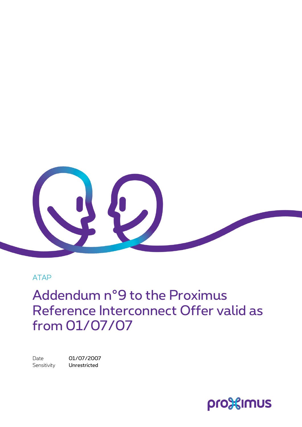

#### ATAP

Addendum n°9 to the Proximus Reference Interconnect Offer valid as from 01/07/07

Date 01/07/2007 Sensitivity **Unrestricted** 

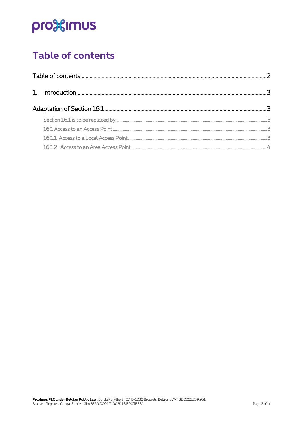# pro<sup>32</sup>imus

## <span id="page-1-0"></span>Table of contents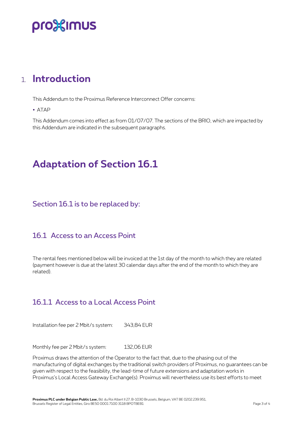## pro%imus

### <span id="page-2-0"></span>1. **Introduction**

This Addendum to the Proximus Reference Interconnect Offer concerns:

ATAP

This Addendum comes into effect as from 01/07/07. The sections of the BRIO, which are impacted by this Addendum are indicated in the subsequent paragraphs.

### <span id="page-2-1"></span>**Adaptation of Section 16.1**

<span id="page-2-2"></span>Section 16.1 is to be replaced by:

### <span id="page-2-3"></span>16.1 Access to an Access Point

The rental fees mentioned below will be invoiced at the 1st day of the month to which they are related (payment however is due at the latest 30 calendar days after the end of the month to which they are related).

### <span id="page-2-4"></span>16.1.1 Access to a Local Access Point

Installation fee per 2 Mbit/s system: 343,84 EUR

Monthly fee per 2 Mbit/s system: 132,06 EUR

Proximus draws the attention of the Operator to the fact that, due to the phasing out of the manufacturing of digital exchanges by the traditional switch providers of Proximus, no guarantees can be given with respect to the feasibility, the lead-time of future extensions and adaptation works in Proximus's Local Access Gateway Exchange(s). Proximus will nevertheless use its best efforts to meet